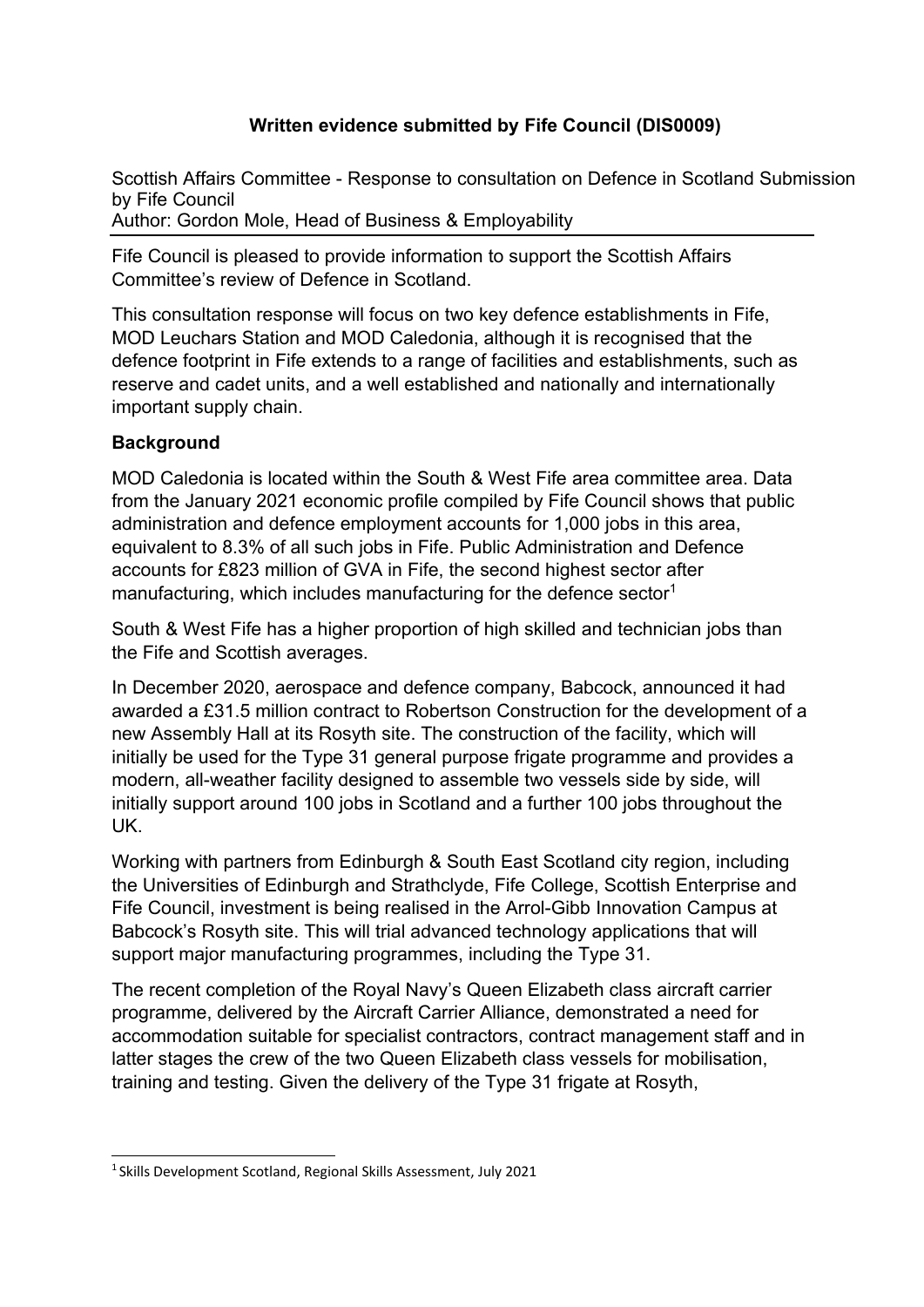# **Written evidence submitted by Fife Council (DIS0009)**

Scottish Affairs Committee - Response to consultation on Defence in Scotland Submission by Fife Council Author: Gordon Mole, Head of Business & Employability

Fife Council is pleased to provide information to support the Scottish Affairs Committee's review of Defence in Scotland.

This consultation response will focus on two key defence establishments in Fife, MOD Leuchars Station and MOD Caledonia, although it is recognised that the defence footprint in Fife extends to a range of facilities and establishments, such as reserve and cadet units, and a well established and nationally and internationally important supply chain.

## **Background**

MOD Caledonia is located within the South & West Fife area committee area. Data from the January 2021 economic profile compiled by Fife Council shows that public administration and defence employment accounts for 1,000 jobs in this area, equivalent to 8.3% of all such jobs in Fife. Public Administration and Defence accounts for £823 million of GVA in Fife, the second highest sector after manufacturing, which includes manufacturing for the defence sector<sup>1</sup>

South & West Fife has a higher proportion of high skilled and technician jobs than the Fife and Scottish averages.

In December 2020, aerospace and defence company, Babcock, announced it had awarded a £31.5 million contract to Robertson Construction for the development of a new Assembly Hall at its Rosyth site. The construction of the facility, which will initially be used for the Type 31 general purpose frigate programme and provides a modern, all-weather facility designed to assemble two vessels side by side, will initially support around 100 jobs in Scotland and a further 100 jobs throughout the UK.

Working with partners from Edinburgh & South East Scotland city region, including the Universities of Edinburgh and Strathclyde, Fife College, Scottish Enterprise and Fife Council, investment is being realised in the Arrol-Gibb Innovation Campus at Babcock's Rosyth site. This will trial advanced technology applications that will support major manufacturing programmes, including the Type 31.

The recent completion of the Royal Navy's Queen Elizabeth class aircraft carrier programme, delivered by the Aircraft Carrier Alliance, demonstrated a need for accommodation suitable for specialist contractors, contract management staff and in latter stages the crew of the two Queen Elizabeth class vessels for mobilisation, training and testing. Given the delivery of the Type 31 frigate at Rosyth,

<sup>&</sup>lt;sup>1</sup> Skills Development Scotland, Regional Skills Assessment, July 2021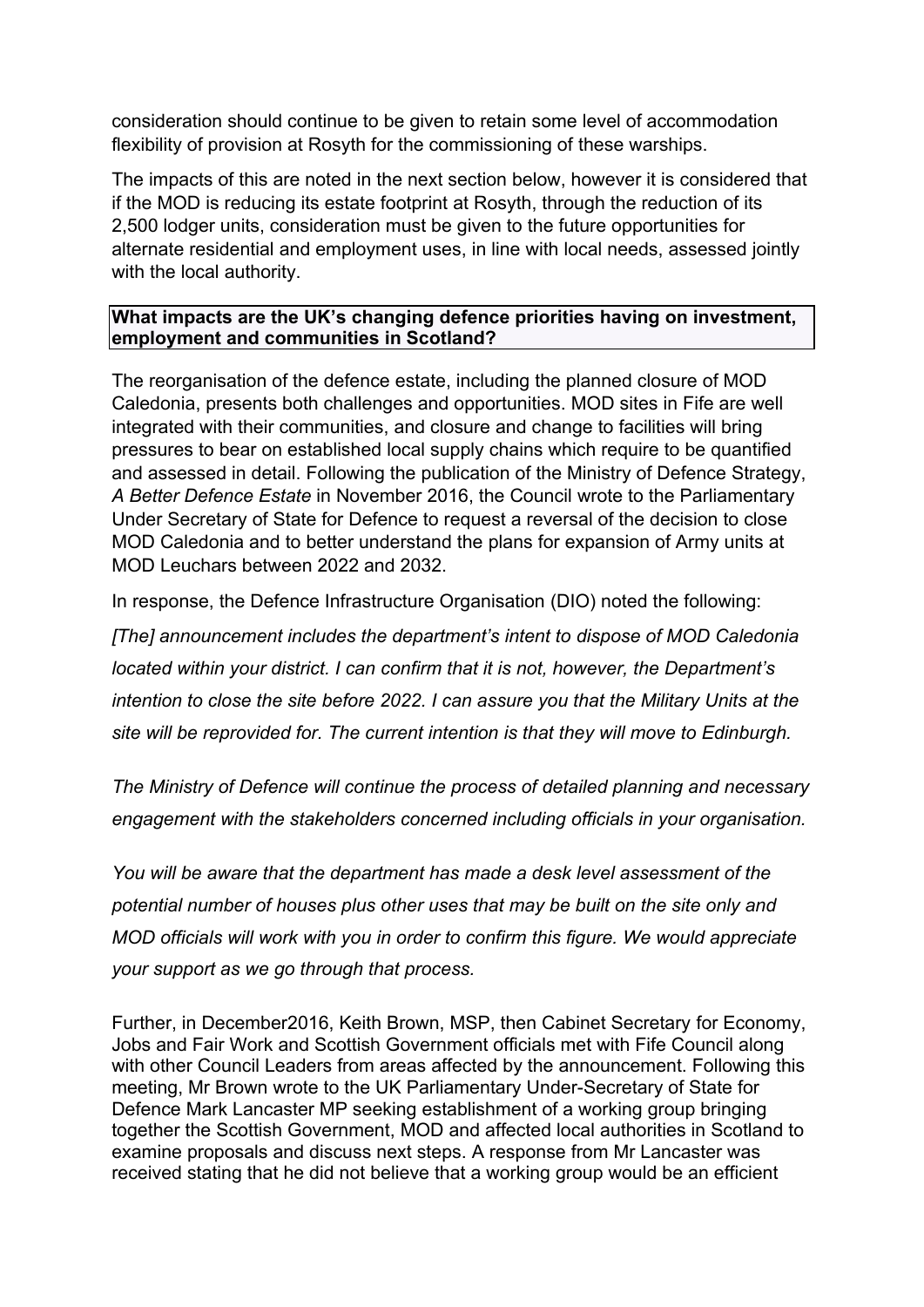consideration should continue to be given to retain some level of accommodation flexibility of provision at Rosyth for the commissioning of these warships.

The impacts of this are noted in the next section below, however it is considered that if the MOD is reducing its estate footprint at Rosyth, through the reduction of its 2,500 lodger units, consideration must be given to the future opportunities for alternate residential and employment uses, in line with local needs, assessed jointly with the local authority.

#### **What impacts are the UK's changing defence priorities having on investment, employment and communities in Scotland?**

The reorganisation of the defence estate, including the planned closure of MOD Caledonia, presents both challenges and opportunities. MOD sites in Fife are well integrated with their communities, and closure and change to facilities will bring pressures to bear on established local supply chains which require to be quantified and assessed in detail. Following the publication of the Ministry of Defence Strategy, *A Better Defence Estate* in November 2016, the Council wrote to the Parliamentary Under Secretary of State for Defence to request a reversal of the decision to close MOD Caledonia and to better understand the plans for expansion of Army units at MOD Leuchars between 2022 and 2032.

In response, the Defence Infrastructure Organisation (DIO) noted the following:

*[The] announcement includes the department's intent to dispose of MOD Caledonia located within your district. I can confirm that it is not, however, the Department's intention to close the site before 2022. I can assure you that the Military Units at the site will be reprovided for. The current intention is that they will move to Edinburgh.*

*The Ministry of Defence will continue the process of detailed planning and necessary engagement with the stakeholders concerned including officials in your organisation.*

*You will be aware that the department has made a desk level assessment of the potential number of houses plus other uses that may be built on the site only and MOD officials will work with you in order to confirm this figure. We would appreciate your support as we go through that process.*

Further, in December2016, Keith Brown, MSP, then Cabinet Secretary for Economy, Jobs and Fair Work and Scottish Government officials met with Fife Council along with other Council Leaders from areas affected by the announcement. Following this meeting, Mr Brown wrote to the UK Parliamentary Under-Secretary of State for Defence Mark Lancaster MP seeking establishment of a working group bringing together the Scottish Government, MOD and affected local authorities in Scotland to examine proposals and discuss next steps. A response from Mr Lancaster was received stating that he did not believe that a working group would be an efficient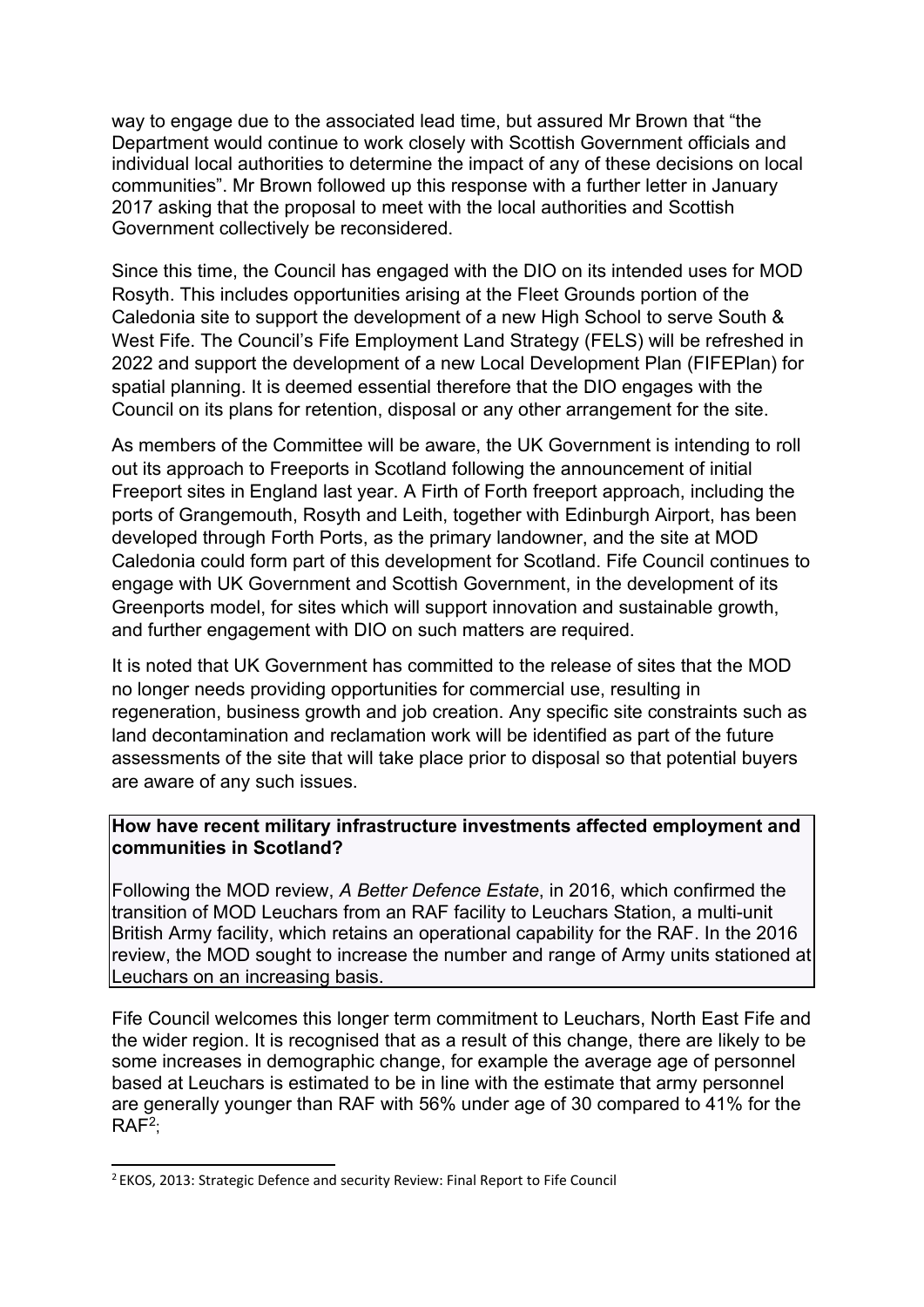way to engage due to the associated lead time, but assured Mr Brown that "the Department would continue to work closely with Scottish Government officials and individual local authorities to determine the impact of any of these decisions on local communities". Mr Brown followed up this response with a further letter in January 2017 asking that the proposal to meet with the local authorities and Scottish Government collectively be reconsidered.

Since this time, the Council has engaged with the DIO on its intended uses for MOD Rosyth. This includes opportunities arising at the Fleet Grounds portion of the Caledonia site to support the development of a new High School to serve South & West Fife. The Council's Fife Employment Land Strategy (FELS) will be refreshed in 2022 and support the development of a new Local Development Plan (FIFEPlan) for spatial planning. It is deemed essential therefore that the DIO engages with the Council on its plans for retention, disposal or any other arrangement for the site.

As members of the Committee will be aware, the UK Government is intending to roll out its approach to Freeports in Scotland following the announcement of initial Freeport sites in England last year. A Firth of Forth freeport approach, including the ports of Grangemouth, Rosyth and Leith, together with Edinburgh Airport, has been developed through Forth Ports, as the primary landowner, and the site at MOD Caledonia could form part of this development for Scotland. Fife Council continues to engage with UK Government and Scottish Government, in the development of its Greenports model, for sites which will support innovation and sustainable growth, and further engagement with DIO on such matters are required.

It is noted that UK Government has committed to the release of sites that the MOD no longer needs providing opportunities for commercial use, resulting in regeneration, business growth and job creation. Any specific site constraints such as land decontamination and reclamation work will be identified as part of the future assessments of the site that will take place prior to disposal so that potential buyers are aware of any such issues.

### **How have recent military infrastructure investments affected employment and communities in Scotland?**

Following the MOD review, *A Better Defence Estate*, in 2016, which confirmed the transition of MOD Leuchars from an RAF facility to Leuchars Station, a multi-unit British Army facility, which retains an operational capability for the RAF. In the 2016 review, the MOD sought to increase the number and range of Army units stationed at Leuchars on an increasing basis.

Fife Council welcomes this longer term commitment to Leuchars, North East Fife and the wider region. It is recognised that as a result of this change, there are likely to be some increases in demographic change, for example the average age of personnel based at Leuchars is estimated to be in line with the estimate that army personnel are generally younger than RAF with 56% under age of 30 compared to 41% for the RAF<sup>2</sup> ;

<sup>&</sup>lt;sup>2</sup> EKOS, 2013: Strategic Defence and security Review: Final Report to Fife Council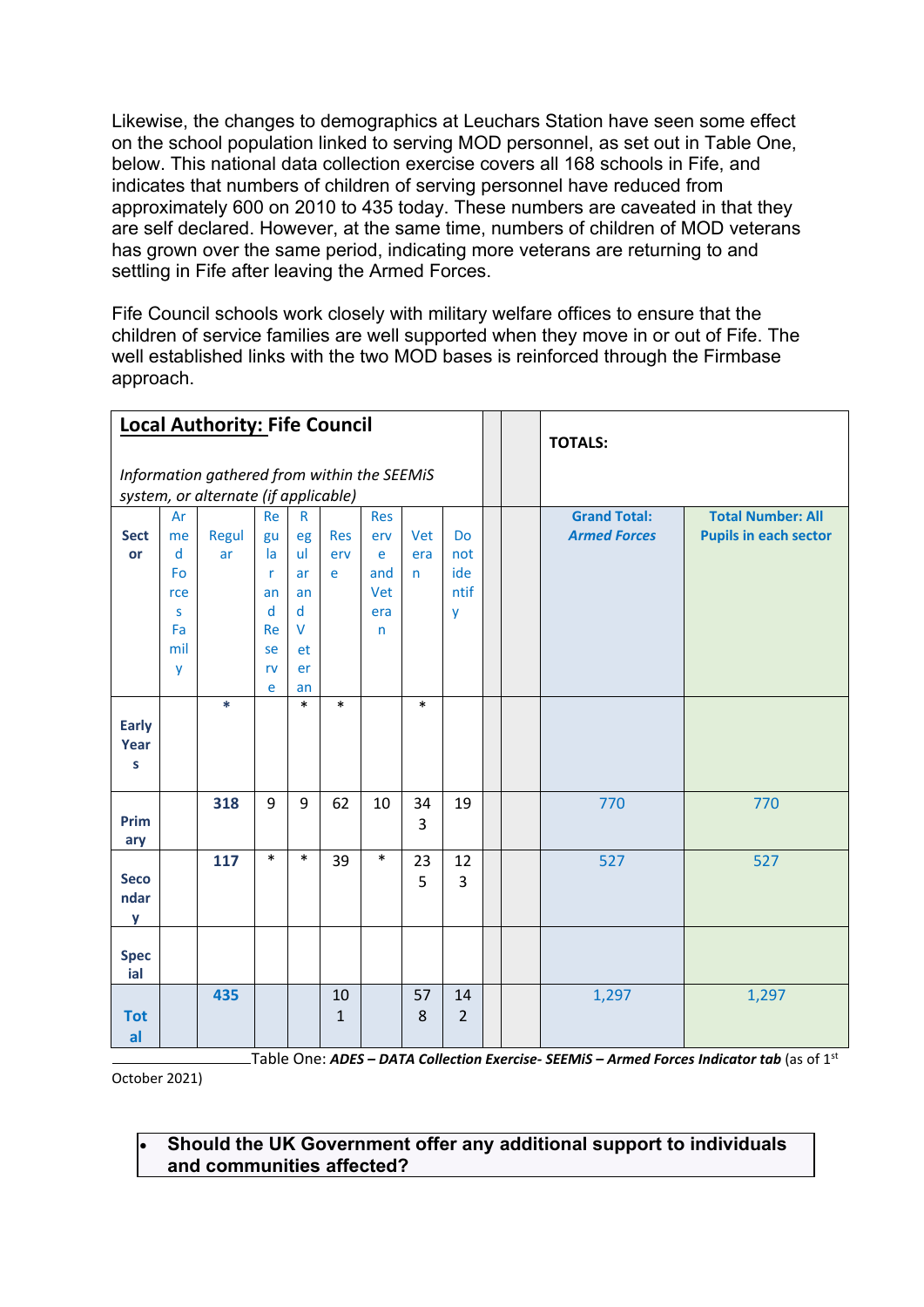Likewise, the changes to demographics at Leuchars Station have seen some effect on the school population linked to serving MOD personnel, as set out in Table One, below. This national data collection exercise covers all 168 schools in Fife, and indicates that numbers of children of serving personnel have reduced from approximately 600 on 2010 to 435 today. These numbers are caveated in that they are self declared. However, at the same time, numbers of children of MOD veterans has grown over the same period, indicating more veterans are returning to and settling in Fife after leaving the Armed Forces.

Fife Council schools work closely with military welfare offices to ensure that the children of service families are well supported when they move in or out of Fife. The well established links with the two MOD bases is reinforced through the Firmbase approach.

| <b>Local Authority: Fife Council</b>        |     |        |              |              |              |              |                |                |  | <b>TOTALS:</b>      |                              |
|---------------------------------------------|-----|--------|--------------|--------------|--------------|--------------|----------------|----------------|--|---------------------|------------------------------|
| Information gathered from within the SEEMiS |     |        |              |              |              |              |                |                |  |                     |                              |
| system, or alternate (if applicable)        |     |        |              |              |              |              |                |                |  |                     |                              |
|                                             | Ar  |        | <b>Re</b>    | $\mathsf{R}$ |              | <b>Res</b>   |                |                |  | <b>Grand Total:</b> | <b>Total Number: All</b>     |
| <b>Sect</b>                                 | me  | Regul  | gu           | eg           | <b>Res</b>   | erv          | Vet            | <b>Do</b>      |  | <b>Armed Forces</b> | <b>Pupils in each sector</b> |
| or                                          | d   | ar     | la           | ul.          | erv          | e            | era            | not            |  |                     |                              |
|                                             | Fo  |        | $\mathsf{r}$ | ar           | e            | and          | n.             | ide            |  |                     |                              |
|                                             | rce |        | an           | an           |              | Vet          |                | ntif           |  |                     |                              |
|                                             | S   |        | d            | d            |              | era          |                | y              |  |                     |                              |
|                                             | Fa  |        | Re           | $\vee$       |              | $\mathsf{n}$ |                |                |  |                     |                              |
|                                             | mil |        | se           | et           |              |              |                |                |  |                     |                              |
|                                             | y   |        | rv           | er           |              |              |                |                |  |                     |                              |
|                                             |     |        | e            | an           |              |              |                |                |  |                     |                              |
|                                             |     | $\ast$ |              | $\ast$       | $\ast$       |              | $\ast$         |                |  |                     |                              |
| <b>Early</b>                                |     |        |              |              |              |              |                |                |  |                     |                              |
| Year                                        |     |        |              |              |              |              |                |                |  |                     |                              |
| S                                           |     |        |              |              |              |              |                |                |  |                     |                              |
|                                             |     | 318    | 9            | 9            | 62           | 10           | 34             | 19             |  | 770                 | 770                          |
| Prim                                        |     |        |              |              |              |              | $\overline{3}$ |                |  |                     |                              |
| ary                                         |     |        |              |              |              |              |                |                |  |                     |                              |
|                                             |     | 117    | $\ast$       | $\ast$       | 39           | $\ast$       | 23             | 12             |  | 527                 | 527                          |
| <b>Seco</b>                                 |     |        |              |              |              |              | 5              | 3              |  |                     |                              |
| ndar                                        |     |        |              |              |              |              |                |                |  |                     |                              |
| y                                           |     |        |              |              |              |              |                |                |  |                     |                              |
|                                             |     |        |              |              |              |              |                |                |  |                     |                              |
| <b>Spec</b>                                 |     |        |              |              |              |              |                |                |  |                     |                              |
| ial                                         |     |        |              |              |              |              |                |                |  |                     |                              |
|                                             |     | 435    |              |              | 10           |              | 57             | 14             |  | 1,297               | 1,297                        |
| <b>Tot</b>                                  |     |        |              |              | $\mathbf{1}$ |              | 8              | $\overline{2}$ |  |                     |                              |
| al                                          |     |        |              |              |              |              |                |                |  |                     |                              |

-Table One: ADES – DATA Collection Exercise- SEEMiS – Armed Forces Indicator tab (as of 1<sup>st</sup> October 2021)

#### Should the UK Government offer any additional support to individuals and communities affected?